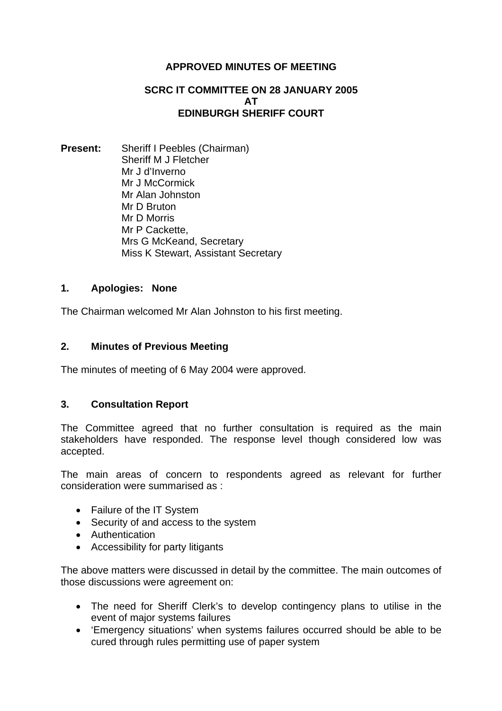# **APPROVED MINUTES OF MEETING**

## **SCRC IT COMMITTEE ON 28 JANUARY 2005 AT EDINBURGH SHERIFF COURT**

**Present:** Sheriff I Peebles (Chairman) Sheriff M J Fletcher Mr J d'Inverno Mr J McCormick Mr Alan Johnston Mr D Bruton Mr D Morris Mr P Cackette, Mrs G McKeand, Secretary Miss K Stewart, Assistant Secretary

# **1. Apologies: None**

The Chairman welcomed Mr Alan Johnston to his first meeting.

## **2. Minutes of Previous Meeting**

The minutes of meeting of 6 May 2004 were approved.

## **3. Consultation Report**

The Committee agreed that no further consultation is required as the main stakeholders have responded. The response level though considered low was accepted.

The main areas of concern to respondents agreed as relevant for further consideration were summarised as :

- Failure of the IT System
- Security of and access to the system
- Authentication
- Accessibility for party litigants

The above matters were discussed in detail by the committee. The main outcomes of those discussions were agreement on:

- The need for Sheriff Clerk's to develop contingency plans to utilise in the event of major systems failures
- 'Emergency situations' when systems failures occurred should be able to be cured through rules permitting use of paper system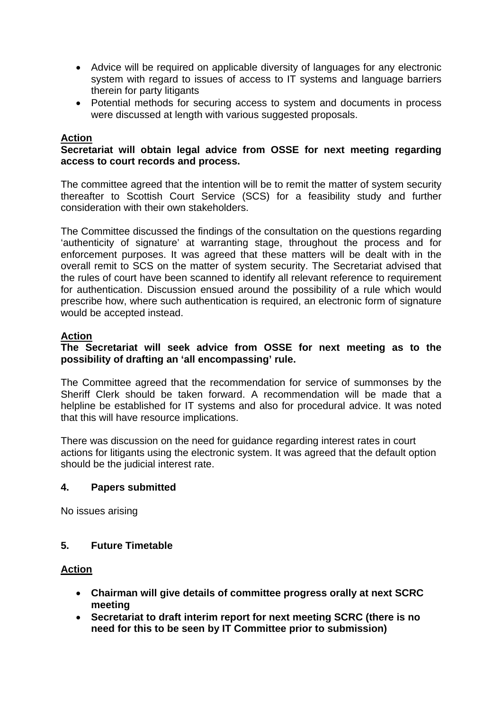- Advice will be required on applicable diversity of languages for any electronic system with regard to issues of access to IT systems and language barriers therein for party litigants
- Potential methods for securing access to system and documents in process were discussed at length with various suggested proposals.

## **Action**

## **Secretariat will obtain legal advice from OSSE for next meeting regarding access to court records and process.**

The committee agreed that the intention will be to remit the matter of system security thereafter to Scottish Court Service (SCS) for a feasibility study and further consideration with their own stakeholders.

The Committee discussed the findings of the consultation on the questions regarding 'authenticity of signature' at warranting stage, throughout the process and for enforcement purposes. It was agreed that these matters will be dealt with in the overall remit to SCS on the matter of system security. The Secretariat advised that the rules of court have been scanned to identify all relevant reference to requirement for authentication. Discussion ensued around the possibility of a rule which would prescribe how, where such authentication is required, an electronic form of signature would be accepted instead.

## **Action**

## **The Secretariat will seek advice from OSSE for next meeting as to the possibility of drafting an 'all encompassing' rule.**

The Committee agreed that the recommendation for service of summonses by the Sheriff Clerk should be taken forward. A recommendation will be made that a helpline be established for IT systems and also for procedural advice. It was noted that this will have resource implications.

There was discussion on the need for guidance regarding interest rates in court actions for litigants using the electronic system. It was agreed that the default option should be the judicial interest rate.

## **4. Papers submitted**

No issues arising

## **5. Future Timetable**

## **Action**

- **Chairman will give details of committee progress orally at next SCRC meeting**
- **Secretariat to draft interim report for next meeting SCRC (there is no need for this to be seen by IT Committee prior to submission)**